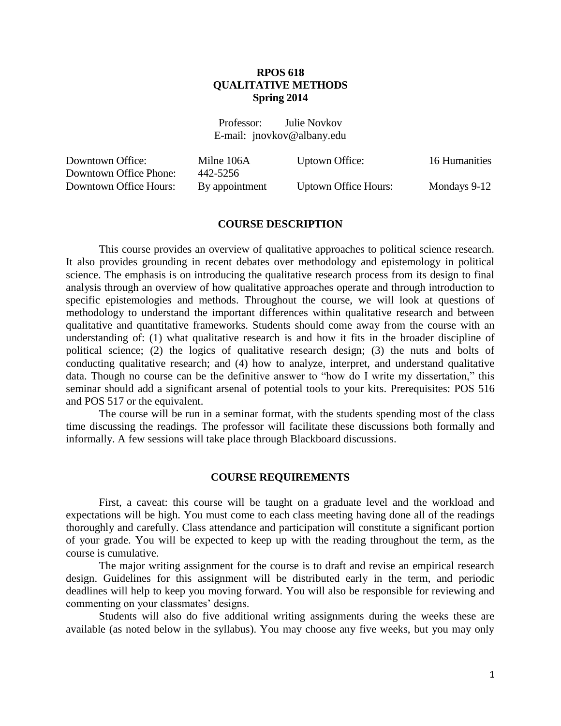# **RPOS 618 QUALITATIVE METHODS Spring 2014**

Professor: Julie Novkov E-mail: jnovkov@albany.edu

| Downtown Office:       | Milne 106A     | Uptown Office:              | 16 Humanities |
|------------------------|----------------|-----------------------------|---------------|
| Downtown Office Phone: | 442-5256       |                             |               |
| Downtown Office Hours: | By appointment | <b>Uptown Office Hours:</b> | Mondays 9-12  |

#### **COURSE DESCRIPTION**

This course provides an overview of qualitative approaches to political science research. It also provides grounding in recent debates over methodology and epistemology in political science. The emphasis is on introducing the qualitative research process from its design to final analysis through an overview of how qualitative approaches operate and through introduction to specific epistemologies and methods. Throughout the course, we will look at questions of methodology to understand the important differences within qualitative research and between qualitative and quantitative frameworks. Students should come away from the course with an understanding of: (1) what qualitative research is and how it fits in the broader discipline of political science; (2) the logics of qualitative research design; (3) the nuts and bolts of conducting qualitative research; and (4) how to analyze, interpret, and understand qualitative data. Though no course can be the definitive answer to "how do I write my dissertation," this seminar should add a significant arsenal of potential tools to your kits. Prerequisites: POS 516 and POS 517 or the equivalent.

The course will be run in a seminar format, with the students spending most of the class time discussing the readings. The professor will facilitate these discussions both formally and informally. A few sessions will take place through Blackboard discussions.

#### **COURSE REQUIREMENTS**

First, a caveat: this course will be taught on a graduate level and the workload and expectations will be high. You must come to each class meeting having done all of the readings thoroughly and carefully. Class attendance and participation will constitute a significant portion of your grade. You will be expected to keep up with the reading throughout the term, as the course is cumulative.

The major writing assignment for the course is to draft and revise an empirical research design. Guidelines for this assignment will be distributed early in the term, and periodic deadlines will help to keep you moving forward. You will also be responsible for reviewing and commenting on your classmates' designs.

Students will also do five additional writing assignments during the weeks these are available (as noted below in the syllabus). You may choose any five weeks, but you may only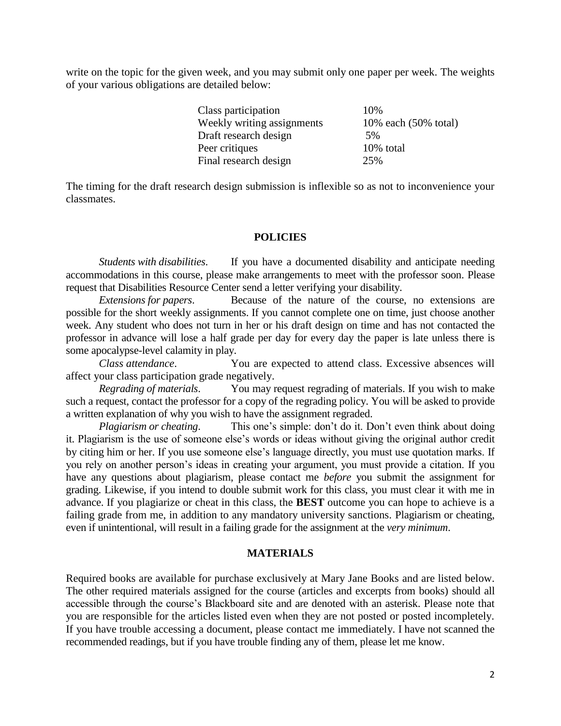write on the topic for the given week, and you may submit only one paper per week. The weights of your various obligations are detailed below:

| 10%                  |
|----------------------|
| 10% each (50% total) |
| 5%                   |
| 10% total            |
| 25%                  |
|                      |

The timing for the draft research design submission is inflexible so as not to inconvenience your classmates.

### **POLICIES**

*Students with disabilities*. If you have a documented disability and anticipate needing accommodations in this course, please make arrangements to meet with the professor soon. Please request that Disabilities Resource Center send a letter verifying your disability.

*Extensions for papers*. Because of the nature of the course, no extensions are possible for the short weekly assignments. If you cannot complete one on time, just choose another week. Any student who does not turn in her or his draft design on time and has not contacted the professor in advance will lose a half grade per day for every day the paper is late unless there is some apocalypse-level calamity in play.

 *Class attendance*. You are expected to attend class. Excessive absences will affect your class participation grade negatively.

*Regrading of materials*. You may request regrading of materials. If you wish to make such a request, contact the professor for a copy of the regrading policy. You will be asked to provide a written explanation of why you wish to have the assignment regraded.

*Plagiarism or cheating.* This one's simple: don't do it. Don't even think about doing it. Plagiarism is the use of someone else's words or ideas without giving the original author credit by citing him or her. If you use someone else's language directly, you must use quotation marks. If you rely on another person's ideas in creating your argument, you must provide a citation. If you have any questions about plagiarism, please contact me *before* you submit the assignment for grading. Likewise, if you intend to double submit work for this class, you must clear it with me in advance. If you plagiarize or cheat in this class, the **BEST** outcome you can hope to achieve is a failing grade from me, in addition to any mandatory university sanctions. Plagiarism or cheating, even if unintentional, will result in a failing grade for the assignment at the *very minimum*.

#### **MATERIALS**

Required books are available for purchase exclusively at Mary Jane Books and are listed below. The other required materials assigned for the course (articles and excerpts from books) should all accessible through the course's Blackboard site and are denoted with an asterisk. Please note that you are responsible for the articles listed even when they are not posted or posted incompletely. If you have trouble accessing a document, please contact me immediately. I have not scanned the recommended readings, but if you have trouble finding any of them, please let me know.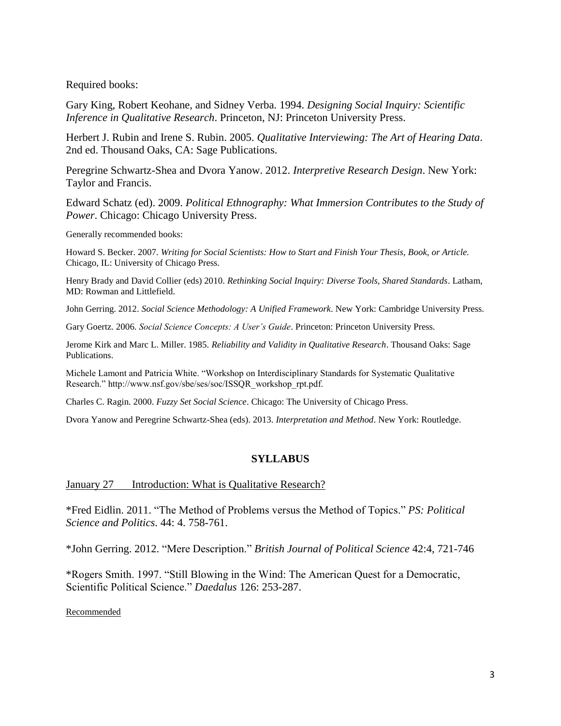Required books:

Gary King, Robert Keohane, and Sidney Verba. 1994. *Designing Social Inquiry: Scientific Inference in Qualitative Research*. Princeton, NJ: Princeton University Press.

Herbert J. Rubin and Irene S. Rubin. 2005. *Qualitative Interviewing: The Art of Hearing Data*. 2nd ed. Thousand Oaks, CA: Sage Publications.

Peregrine Schwartz-Shea and Dvora Yanow. 2012. *Interpretive Research Design*. New York: Taylor and Francis.

Edward Schatz (ed). 2009. *Political Ethnography: What Immersion Contributes to the Study of Power*. Chicago: Chicago University Press.

Generally recommended books:

Howard S. Becker. 2007. *Writing for Social Scientists: How to Start and Finish Your Thesis, Book, or Article.* Chicago, IL: University of Chicago Press.

Henry Brady and David Collier (eds) 2010. *Rethinking Social Inquiry: Diverse Tools, Shared Standards*. Latham, MD: Rowman and Littlefield.

John Gerring. 2012. *Social Science Methodology: A Unified Framework*. New York: Cambridge University Press.

Gary Goertz. 2006. *Social Science Concepts: A User's Guide*. Princeton: Princeton University Press.

Jerome Kirk and Marc L. Miller. 1985. *Reliability and Validity in Qualitative Research*. Thousand Oaks: Sage Publications.

Michele Lamont and Patricia White. "Workshop on Interdisciplinary Standards for Systematic Qualitative Research." http://www.nsf.gov/sbe/ses/soc/ISSQR\_workshop\_rpt.pdf.

Charles C. Ragin. 2000. *Fuzzy Set Social Science*. Chicago: The University of Chicago Press.

Dvora Yanow and Peregrine Schwartz-Shea (eds). 2013. *Interpretation and Method*. New York: Routledge.

# **SYLLABUS**

### January 27 Introduction: What is Qualitative Research?

\*Fred Eidlin. 2011. "The Method of Problems versus the Method of Topics." *PS: Political Science and Politics*. 44: 4. 758-761.

\*John Gerring. 2012. "Mere Description." *British Journal of Political Science* 42:4, 721-746

\*Rogers Smith. 1997. "Still Blowing in the Wind: The American Quest for a Democratic, Scientific Political Science." *Daedalus* 126: 253-287.

Recommended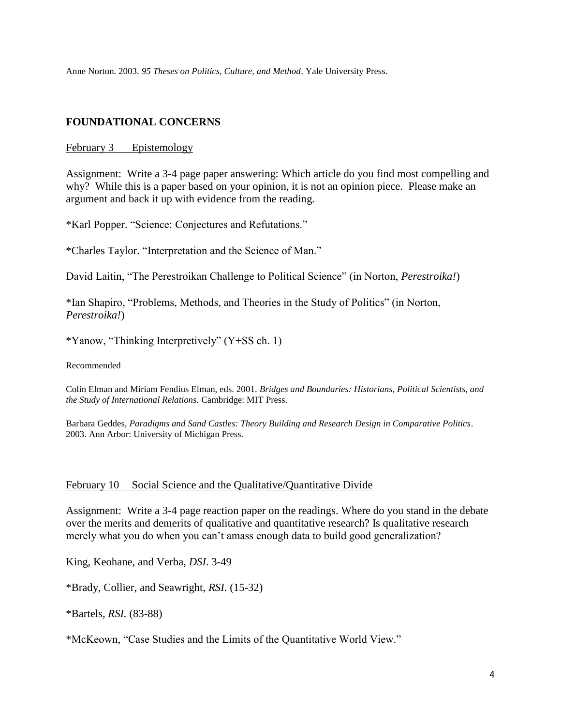Anne Norton. 2003. *95 Theses on Politics, Culture, and Method*. Yale University Press.

# **FOUNDATIONAL CONCERNS**

### February 3 Epistemology

Assignment: Write a 3-4 page paper answering: Which article do you find most compelling and why? While this is a paper based on your opinion, it is not an opinion piece. Please make an argument and back it up with evidence from the reading.

\*Karl Popper. "Science: Conjectures and Refutations."

\*Charles Taylor. "Interpretation and the Science of Man."

David Laitin, "The Perestroikan Challenge to Political Science" (in Norton, *Perestroika!*)

\*Ian Shapiro, "Problems, Methods, and Theories in the Study of Politics" (in Norton, *Perestroika!*)

\*Yanow, "Thinking Interpretively" (Y+SS ch. 1)

Recommended

Colin Elman and Miriam Fendius Elman, eds. 2001. *Bridges and Boundaries: Historians, Political Scientists, and the Study of International Relations.* Cambridge: MIT Press.

Barbara Geddes, *Paradigms and Sand Castles: Theory Building and Research Design in Comparative Politics*. 2003. Ann Arbor: University of Michigan Press.

# February 10 Social Science and the Qualitative/Quantitative Divide

Assignment: Write a 3-4 page reaction paper on the readings. Where do you stand in the debate over the merits and demerits of qualitative and quantitative research? Is qualitative research merely what you do when you can't amass enough data to build good generalization?

King, Keohane, and Verba, *DSI*. 3-49

\*Brady, Collier, and Seawright, *RSI.* (15-32)

\*Bartels, *RSI.* (83-88)

\*McKeown, "Case Studies and the Limits of the Quantitative World View."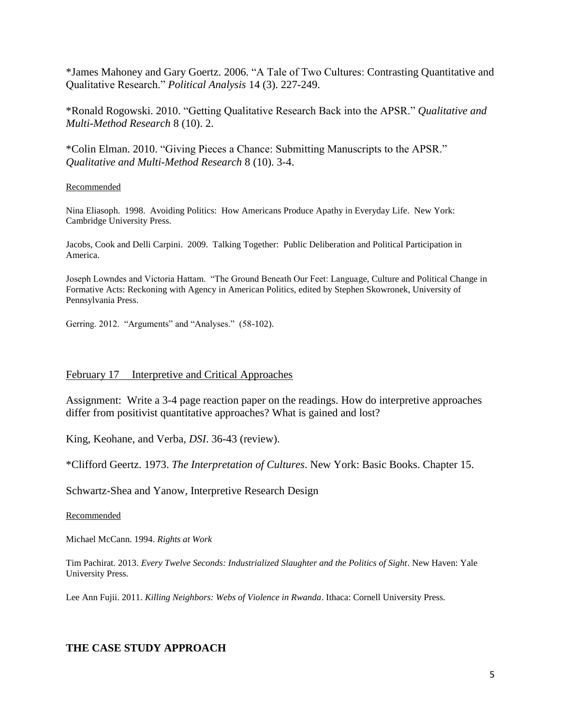\*James Mahoney and Gary Goertz. 2006. "A Tale of Two Cultures: Contrasting Quantitative and Qualitative Research." *Political Analysis* 14 (3). 227-249.

\*Ronald Rogowski. 2010. "Getting Qualitative Research Back into the APSR." *Qualitative and Multi-Method Research* 8 (10). 2.

\*Colin Elman. 2010. "Giving Pieces a Chance: Submitting Manuscripts to the APSR." *Qualitative and Multi-Method Research* 8 (10). 3-4.

#### Recommended

Nina Eliasoph. 1998. Avoiding Politics: How Americans Produce Apathy in Everyday Life. New York: Cambridge University Press.

Jacobs, Cook and Delli Carpini. 2009. Talking Together: Public Deliberation and Political Participation in America.

Joseph Lowndes and Victoria Hattam. "The Ground Beneath Our Feet: Language, Culture and Political Change in Formative Acts: Reckoning with Agency in American Politics, edited by Stephen Skowronek, University of Pennsylvania Press.

Gerring. 2012. "Arguments" and "Analyses." (58-102).

### February 17 Interpretive and Critical Approaches

Assignment: Write a 3-4 page reaction paper on the readings. How do interpretive approaches differ from positivist quantitative approaches? What is gained and lost?

King, Keohane, and Verba, *DSI*. 36-43 (review).

\*Clifford Geertz. 1973. *The Interpretation of Cultures*. New York: Basic Books. Chapter 15.

Schwartz-Shea and Yanow, Interpretive Research Design

#### Recommended

Michael McCann. 1994. *Rights at Work*

Tim Pachirat. 2013. *Every Twelve Seconds: Industrialized Slaughter and the Politics of Sight*. New Haven: Yale University Press.

Lee Ann Fujii. 2011. *Killing Neighbors: Webs of Violence in Rwanda*. Ithaca: Cornell University Press.

# **THE CASE STUDY APPROACH**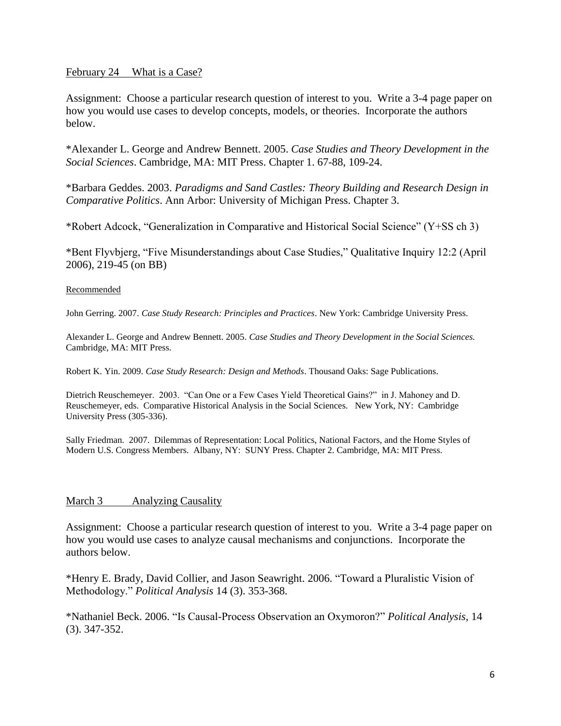### February 24 What is a Case?

Assignment: Choose a particular research question of interest to you. Write a 3-4 page paper on how you would use cases to develop concepts, models, or theories. Incorporate the authors below.

\*Alexander L. George and Andrew Bennett. 2005. *Case Studies and Theory Development in the Social Sciences*. Cambridge, MA: MIT Press. Chapter 1. 67-88, 109-24.

\*Barbara Geddes. 2003. *Paradigms and Sand Castles: Theory Building and Research Design in Comparative Politics*. Ann Arbor: University of Michigan Press. Chapter 3.

\*Robert Adcock, "Generalization in Comparative and Historical Social Science" (Y+SS ch 3)

\*Bent Flyvbjerg, "Five Misunderstandings about Case Studies," Qualitative Inquiry 12:2 (April 2006), 219-45 (on BB)

### Recommended

John Gerring. 2007. *Case Study Research: Principles and Practices*. New York: Cambridge University Press.

Alexander L. George and Andrew Bennett. 2005. *Case Studies and Theory Development in the Social Sciences.* Cambridge, MA: MIT Press.

Robert K. Yin. 2009. *Case Study Research: Design and Methods*. Thousand Oaks: Sage Publications.

Dietrich Reuschemeyer. 2003. "Can One or a Few Cases Yield Theoretical Gains?" in J. Mahoney and D. Reuschemeyer, eds. Comparative Historical Analysis in the Social Sciences. New York, NY: Cambridge University Press (305-336).

Sally Friedman. 2007. Dilemmas of Representation: Local Politics, National Factors, and the Home Styles of Modern U.S. Congress Members. Albany, NY: SUNY Press. Chapter 2. Cambridge, MA: MIT Press.

# March 3 Analyzing Causality

Assignment: Choose a particular research question of interest to you. Write a 3-4 page paper on how you would use cases to analyze causal mechanisms and conjunctions. Incorporate the authors below.

\*Henry E. Brady, David Collier, and Jason Seawright. 2006. "Toward a Pluralistic Vision of Methodology." *Political Analysis* 14 (3). 353-368.

\*Nathaniel Beck. 2006. "Is Causal-Process Observation an Oxymoron?" *Political Analysis*, 14 (3). 347-352.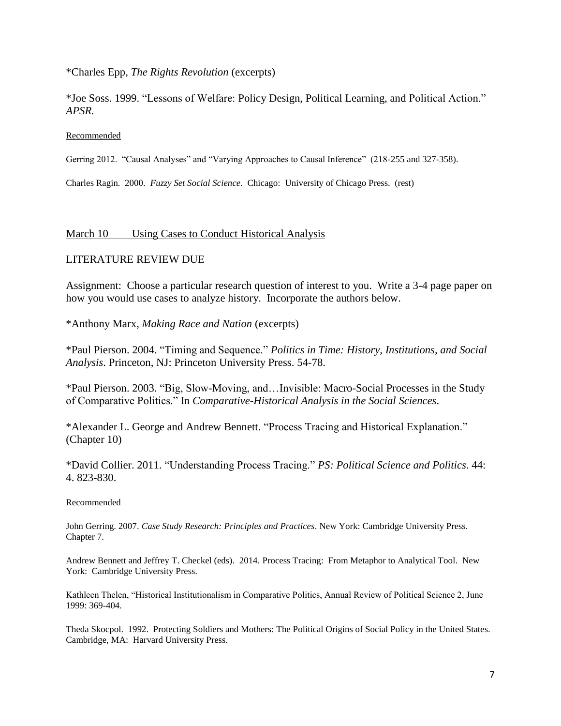\*Charles Epp, *The Rights Revolution* (excerpts)

\*Joe Soss. 1999. "Lessons of Welfare: Policy Design, Political Learning, and Political Action." *APSR.*

### Recommended

Gerring 2012. "Causal Analyses" and "Varying Approaches to Causal Inference" (218-255 and 327-358).

Charles Ragin. 2000. *Fuzzy Set Social Science*. Chicago: University of Chicago Press. (rest)

### March 10 Using Cases to Conduct Historical Analysis

### LITERATURE REVIEW DUE

Assignment: Choose a particular research question of interest to you. Write a 3-4 page paper on how you would use cases to analyze history. Incorporate the authors below.

\*Anthony Marx, *Making Race and Nation* (excerpts)

\*Paul Pierson. 2004. "Timing and Sequence." *Politics in Time: History, Institutions, and Social Analysis*. Princeton, NJ: Princeton University Press. 54-78.

\*Paul Pierson. 2003. "Big, Slow-Moving, and…Invisible: Macro-Social Processes in the Study of Comparative Politics." In *Comparative-Historical Analysis in the Social Sciences*.

\*Alexander L. George and Andrew Bennett. "Process Tracing and Historical Explanation." (Chapter 10)

\*David Collier. 2011. "Understanding Process Tracing." *PS: Political Science and Politics*. 44: 4. 823-830.

#### Recommended

John Gerring. 2007. *Case Study Research: Principles and Practices*. New York: Cambridge University Press. Chapter 7.

Andrew Bennett and Jeffrey T. Checkel (eds). 2014. Process Tracing: From Metaphor to Analytical Tool. New York: Cambridge University Press.

Kathleen Thelen, "Historical Institutionalism in Comparative Politics, Annual Review of Political Science 2, June 1999: 369-404.

Theda Skocpol. 1992. Protecting Soldiers and Mothers: The Political Origins of Social Policy in the United States. Cambridge, MA: Harvard University Press.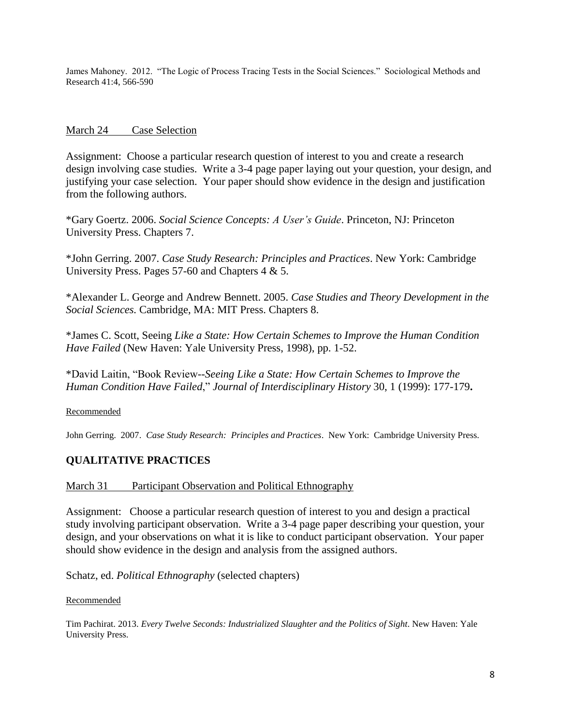James Mahoney. 2012. "The Logic of Process Tracing Tests in the Social Sciences." Sociological Methods and Research 41:4, 566-590

# March 24 Case Selection

Assignment: Choose a particular research question of interest to you and create a research design involving case studies. Write a 3-4 page paper laying out your question, your design, and justifying your case selection. Your paper should show evidence in the design and justification from the following authors.

\*Gary Goertz. 2006. *Social Science Concepts: A User's Guide*. Princeton, NJ: Princeton University Press. Chapters 7.

\*John Gerring. 2007. *Case Study Research: Principles and Practices*. New York: Cambridge University Press. Pages 57-60 and Chapters 4 & 5.

\*Alexander L. George and Andrew Bennett. 2005. *Case Studies and Theory Development in the Social Sciences.* Cambridge, MA: MIT Press. Chapters 8.

\*James C. Scott, Seeing *Like a State: How Certain Schemes to Improve the Human Condition Have Failed* (New Haven: Yale University Press, 1998), pp. 1-52.

\*David Laitin, "Book Review*--Seeing Like a State: How Certain Schemes to Improve the Human Condition Have Failed*," *Journal of Interdisciplinary History* 30, 1 (1999): 177-179**.** 

Recommended

John Gerring. 2007. *Case Study Research: Principles and Practices*. New York: Cambridge University Press.

# **QUALITATIVE PRACTICES**

# March 31 Participant Observation and Political Ethnography

Assignment: Choose a particular research question of interest to you and design a practical study involving participant observation. Write a 3-4 page paper describing your question, your design, and your observations on what it is like to conduct participant observation. Your paper should show evidence in the design and analysis from the assigned authors.

Schatz, ed. *Political Ethnography* (selected chapters)

### Recommended

Tim Pachirat. 2013. *Every Twelve Seconds: Industrialized Slaughter and the Politics of Sight*. New Haven: Yale University Press.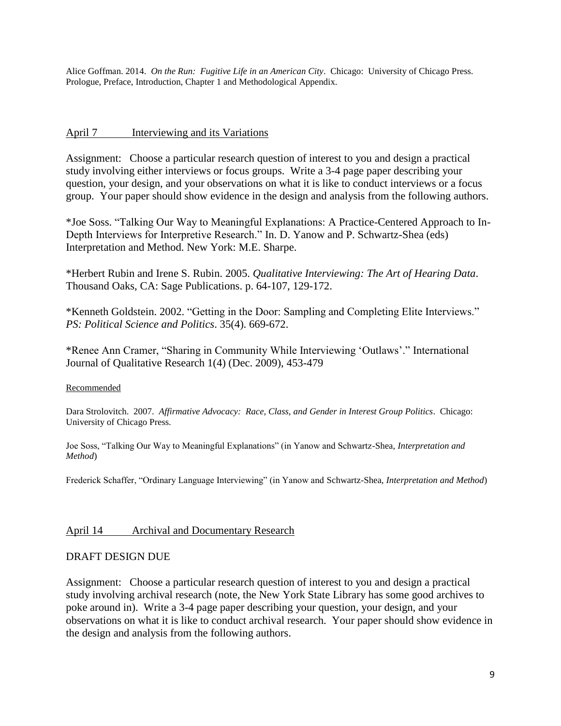Alice Goffman. 2014. *On the Run: Fugitive Life in an American City*. Chicago: University of Chicago Press. Prologue, Preface, Introduction, Chapter 1 and Methodological Appendix.

## April 7 Interviewing and its Variations

Assignment: Choose a particular research question of interest to you and design a practical study involving either interviews or focus groups. Write a 3-4 page paper describing your question, your design, and your observations on what it is like to conduct interviews or a focus group. Your paper should show evidence in the design and analysis from the following authors.

\*Joe Soss. "Talking Our Way to Meaningful Explanations: A Practice-Centered Approach to In-Depth Interviews for Interpretive Research." In. D. Yanow and P. Schwartz-Shea (eds) Interpretation and Method. New York: M.E. Sharpe.

\*Herbert Rubin and Irene S. Rubin. 2005. *Qualitative Interviewing: The Art of Hearing Data*. Thousand Oaks, CA: Sage Publications. p. 64-107, 129-172.

\*Kenneth Goldstein. 2002. "Getting in the Door: Sampling and Completing Elite Interviews." *PS: Political Science and Politics*. 35(4). 669-672.

\*Renee Ann Cramer, "Sharing in Community While Interviewing 'Outlaws'." International Journal of Qualitative Research 1(4) (Dec. 2009), 453-479

### Recommended

Dara Strolovitch. 2007. *Affirmative Advocacy: Race, Class, and Gender in Interest Group Politics*. Chicago: University of Chicago Press.

Joe Soss, "Talking Our Way to Meaningful Explanations" (in Yanow and Schwartz-Shea, *Interpretation and Method*)

Frederick Schaffer, "Ordinary Language Interviewing" (in Yanow and Schwartz-Shea, *Interpretation and Method*)

# April 14 Archival and Documentary Research

# DRAFT DESIGN DUE

Assignment: Choose a particular research question of interest to you and design a practical study involving archival research (note, the New York State Library has some good archives to poke around in). Write a 3-4 page paper describing your question, your design, and your observations on what it is like to conduct archival research. Your paper should show evidence in the design and analysis from the following authors.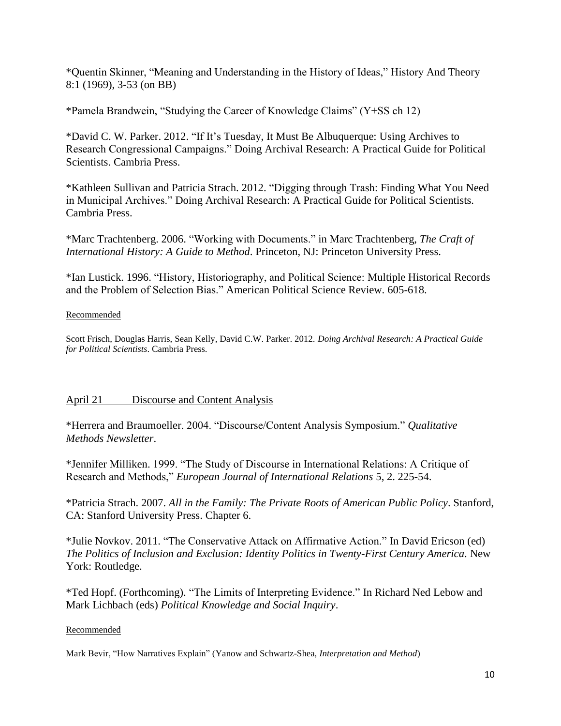\*Quentin Skinner, "Meaning and Understanding in the History of Ideas," History And Theory 8:1 (1969), 3-53 (on BB)

\*Pamela Brandwein, "Studying the Career of Knowledge Claims" (Y+SS ch 12)

\*David C. W. Parker. 2012. "If It's Tuesday, It Must Be Albuquerque: Using Archives to Research Congressional Campaigns." Doing Archival Research: A Practical Guide for Political Scientists. Cambria Press.

\*Kathleen Sullivan and Patricia Strach. 2012. "Digging through Trash: Finding What You Need in Municipal Archives." Doing Archival Research: A Practical Guide for Political Scientists. Cambria Press.

\*Marc Trachtenberg. 2006. "Working with Documents." in Marc Trachtenberg, *The Craft of International History: A Guide to Method*. Princeton, NJ: Princeton University Press.

\*Ian Lustick. 1996. "History, Historiography, and Political Science: Multiple Historical Records and the Problem of Selection Bias." American Political Science Review. 605-618.

### Recommended

Scott Frisch, Douglas Harris, Sean Kelly, David C.W. Parker. 2012. *Doing Archival Research: A Practical Guide for Political Scientists*. Cambria Press.

# April 21 Discourse and Content Analysis

\*Herrera and Braumoeller. 2004. "Discourse/Content Analysis Symposium." *Qualitative Methods Newsletter*.

\*Jennifer Milliken. 1999. "The Study of Discourse in International Relations: A Critique of Research and Methods," *European Journal of International Relations* 5, 2. 225-54.

\*Patricia Strach. 2007. *All in the Family: The Private Roots of American Public Policy*. Stanford, CA: Stanford University Press. Chapter 6.

\*Julie Novkov. 2011. "The Conservative Attack on Affirmative Action." In David Ericson (ed) *The Politics of Inclusion and Exclusion: Identity Politics in Twenty-First Century America*. New York: Routledge.

\*Ted Hopf. (Forthcoming). "The Limits of Interpreting Evidence." In Richard Ned Lebow and Mark Lichbach (eds) *Political Knowledge and Social Inquiry*.

# Recommended

Mark Bevir, "How Narratives Explain" (Yanow and Schwartz-Shea, *Interpretation and Method*)